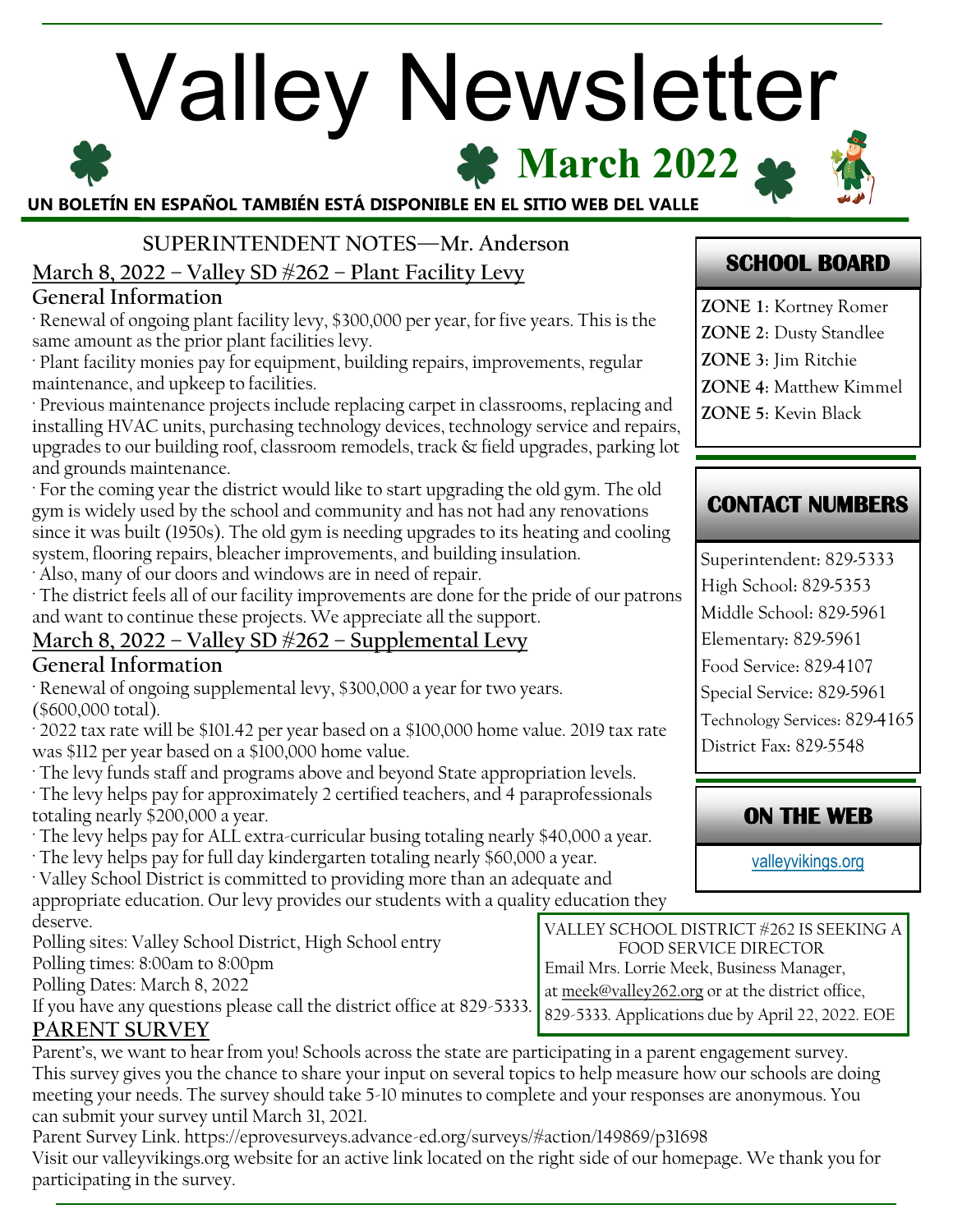# **X** March 2022 Valley Newsletter **UN BOLETÍN EN ESPAÑOL TAMBIÉN ESTÁ DISPONIBLE EN EL SITIO WEB DEL VALLE**

**SUPERINTENDENT NOTES—Mr. Anderson March 8, 2022 – Valley SD #262 – Plant Facility Levy** 

## **General Information**

· Renewal of ongoing plant facility levy, \$300,000 per year, for five years. This is the same amount as the prior plant facilities levy.

· Plant facility monies pay for equipment, building repairs, improvements, regular maintenance, and upkeep to facilities.

· Previous maintenance projects include replacing carpet in classrooms, replacing and installing HVAC units, purchasing technology devices, technology service and repairs, upgrades to our building roof, classroom remodels, track & field upgrades, parking lot and grounds maintenance.

· For the coming year the district would like to start upgrading the old gym. The old gym is widely used by the school and community and has not had any renovations since it was built (1950s). The old gym is needing upgrades to its heating and cooling system, flooring repairs, bleacher improvements, and building insulation.

· Also, many of our doors and windows are in need of repair.

· The district feels all of our facility improvements are done for the pride of our patrons and want to continue these projects. We appreciate all the support.

# **March 8, 2022 – Valley SD #262 – Supplemental Levy**

### **General Information**

· Renewal of ongoing supplemental levy, \$300,000 a year for two years. (\$600,000 total).

· 2022 tax rate will be \$101.42 per year based on a \$100,000 home value. 2019 tax rate was \$112 per year based on a \$100,000 home value.

· The levy funds staff and programs above and beyond State appropriation levels.

· The levy helps pay for approximately 2 certified teachers, and 4 paraprofessionals totaling nearly \$200,000 a year.

- · The levy helps pay for ALL extra-curricular busing totaling nearly \$40,000 a year.
- · The levy helps pay for full day kindergarten totaling nearly \$60,000 a year.

· Valley School District is committed to providing more than an adequate and appropriate education. Our levy provides our students with a quality education they deserve.

Polling sites: Valley School District, High School entry Polling times: 8:00am to 8:00pm

Polling Dates: March 8, 2022

If you have any questions please call the district office at 829-5333. **PARENT SURVEY** 

Parent's, we want to hear from you! Schools across the state are participating in a parent engagement survey. This survey gives you the chance to share your input on several topics to help measure how our schools are doing meeting your needs. The survey should take 5-10 minutes to complete and your responses are anonymous. You can submit your survey until March 31, 2021.

Parent Survey Link. https://eprovesurveys.advance-ed.org/surveys/#action/149869/p31698 Visit our valleyvikings.org website for an active link located on the right side of our homepage. We thank you for participating in the survey.

# **SCHOOL BOARD**

**ZONE 1**: Kortney Romer **ZONE 2**: Dusty Standlee **ZONE 3**: Jim Ritchie **ZONE 4**: Matthew Kimmel **ZONE 5**: Kevin Black

# **CONTACT NUMBERS**

Superintendent: 829-5333 High School: 829-5353 Middle School: 829-5961 Elementary: 829-5961 Food Service: 829-4107 Special Service: 829-5961 Technology Services: 829-4165 District Fax: 829-5548

# **ON THE WEB**

[valleyvikings.org](http://www.valleyvikings.org/)

VALLEY SCHOOL DISTRICT #262 IS SEEKING A FOOD SERVICE DIRECTOR Email Mrs. Lorrie Meek, Business Manager, at [meek@valley262.org](mailto:meek@valley262.org) or at the district office, 829-5333. Applications due by April 22, 2022. EOE

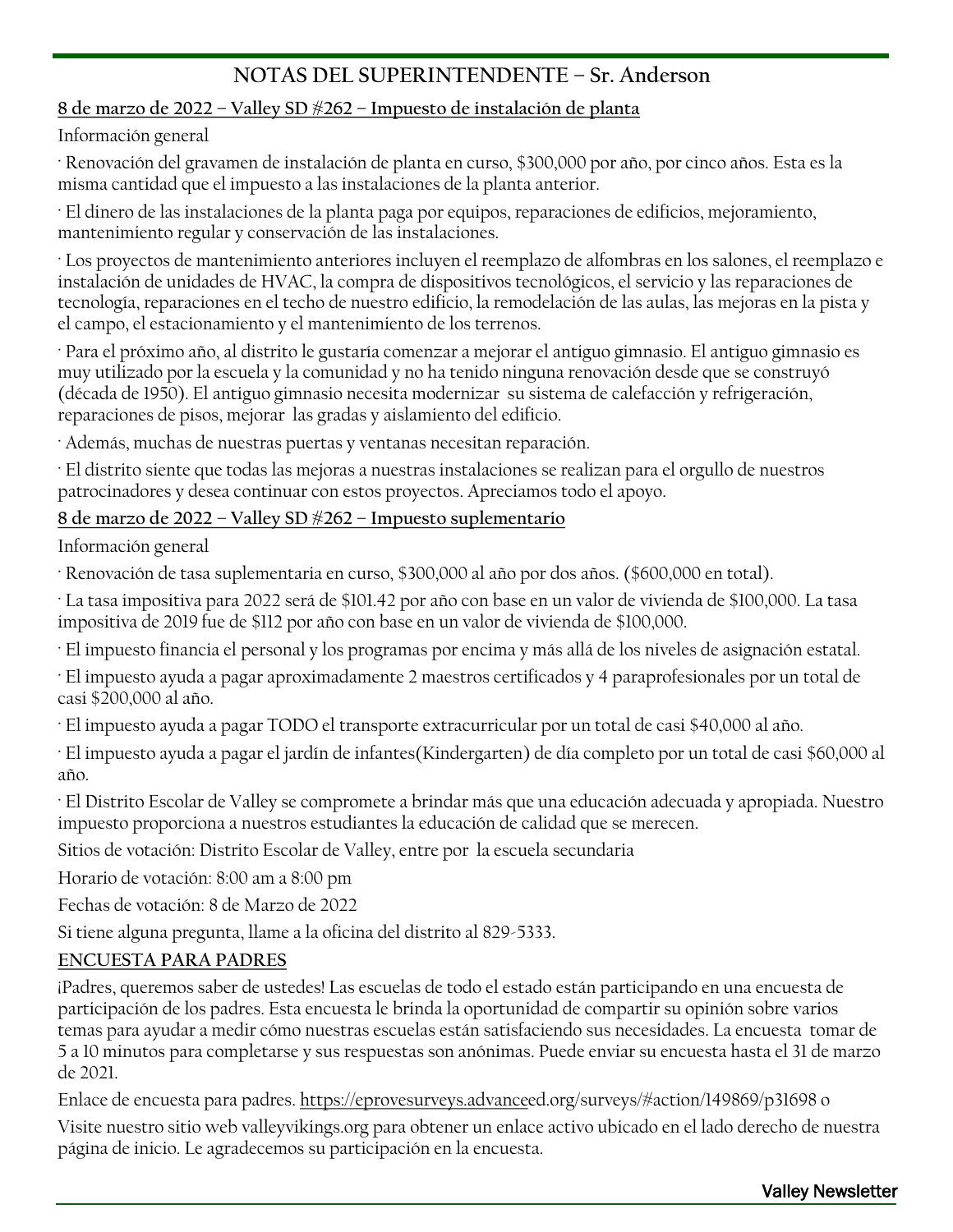## **NOTAS DEL SUPERINTENDENTE – Sr. Anderson**

#### **8 de marzo de 2022 – Valley SD #262 – Impuesto de instalación de planta**

Información general

· Renovación del gravamen de instalación de planta en curso, \$300,000 por año, por cinco años. Esta es la misma cantidad que el impuesto a las instalaciones de la planta anterior.

· El dinero de las instalaciones de la planta paga por equipos, reparaciones de edificios, mejoramiento, mantenimiento regular y conservación de las instalaciones.

· Los proyectos de mantenimiento anteriores incluyen el reemplazo de alfombras en los salones, el reemplazo e instalación de unidades de HVAC, la compra de dispositivos tecnológicos, el servicio y las reparaciones de tecnología, reparaciones en el techo de nuestro edificio, la remodelación de las aulas, las mejoras en la pista y el campo, el estacionamiento y el mantenimiento de los terrenos.

· Para el próximo año, al distrito le gustaría comenzar a mejorar el antiguo gimnasio. El antiguo gimnasio es muy utilizado por la escuela y la comunidad y no ha tenido ninguna renovación desde que se construyó (década de 1950). El antiguo gimnasio necesita modernizar su sistema de calefacción y refrigeración, reparaciones de pisos, mejorar las gradas y aislamiento del edificio.

· Además, muchas de nuestras puertas y ventanas necesitan reparación.

· El distrito siente que todas las mejoras a nuestras instalaciones se realizan para el orgullo de nuestros patrocinadores y desea continuar con estos proyectos. Apreciamos todo el apoyo.

#### **8 de marzo de 2022 – Valley SD #262 – Impuesto suplementario**

Información general

· Renovación de tasa suplementaria en curso, \$300,000 al año por dos años. (\$600,000 en total).

· La tasa impositiva para 2022 será de \$101.42 por año con base en un valor de vivienda de \$100,000. La tasa impositiva de 2019 fue de \$112 por año con base en un valor de vivienda de \$100,000.

· El impuesto financia el personal y los programas por encima y más allá de los niveles de asignación estatal.

· El impuesto ayuda a pagar aproximadamente 2 maestros certificados y 4 paraprofesionales por un total de casi \$200,000 al año.

· El impuesto ayuda a pagar TODO el transporte extracurricular por un total de casi \$40,000 al año.

· El impuesto ayuda a pagar el jardín de infantes(Kindergarten) de día completo por un total de casi \$60,000 al año.

· El Distrito Escolar de Valley se compromete a brindar más que una educación adecuada y apropiada. Nuestro impuesto proporciona a nuestros estudiantes la educación de calidad que se merecen.

Sitios de votación: Distrito Escolar de Valley, entre por la escuela secundaria

Horario de votación: 8:00 am a 8:00 pm

Fechas de votación: 8 de Marzo de 2022

Si tiene alguna pregunta, llame a la oficina del distrito al 829-5333.

#### **ENCUESTA PARA PADRES**

¡Padres, queremos saber de ustedes! Las escuelas de todo el estado están participando en una encuesta de participación de los padres. Esta encuesta le brinda la oportunidad de compartir su opinión sobre varios temas para ayudar a medir cómo nuestras escuelas están satisfaciendo sus necesidades. La encuesta tomar de 5 a 10 minutos para completarse y sus respuestas son anónimas. Puede enviar su encuesta hasta el 31 de marzo de 2021.

Enlace de encuesta para padres. [https://eprovesurveys.advanceed](https://eprovesurveys.advance).org/surveys/#action/149869/p31698 o

Visite nuestro sitio web valleyvikings.org para obtener un enlace activo ubicado en el lado derecho de nuestra página de inicio. Le agradecemos su participación en la encuesta.